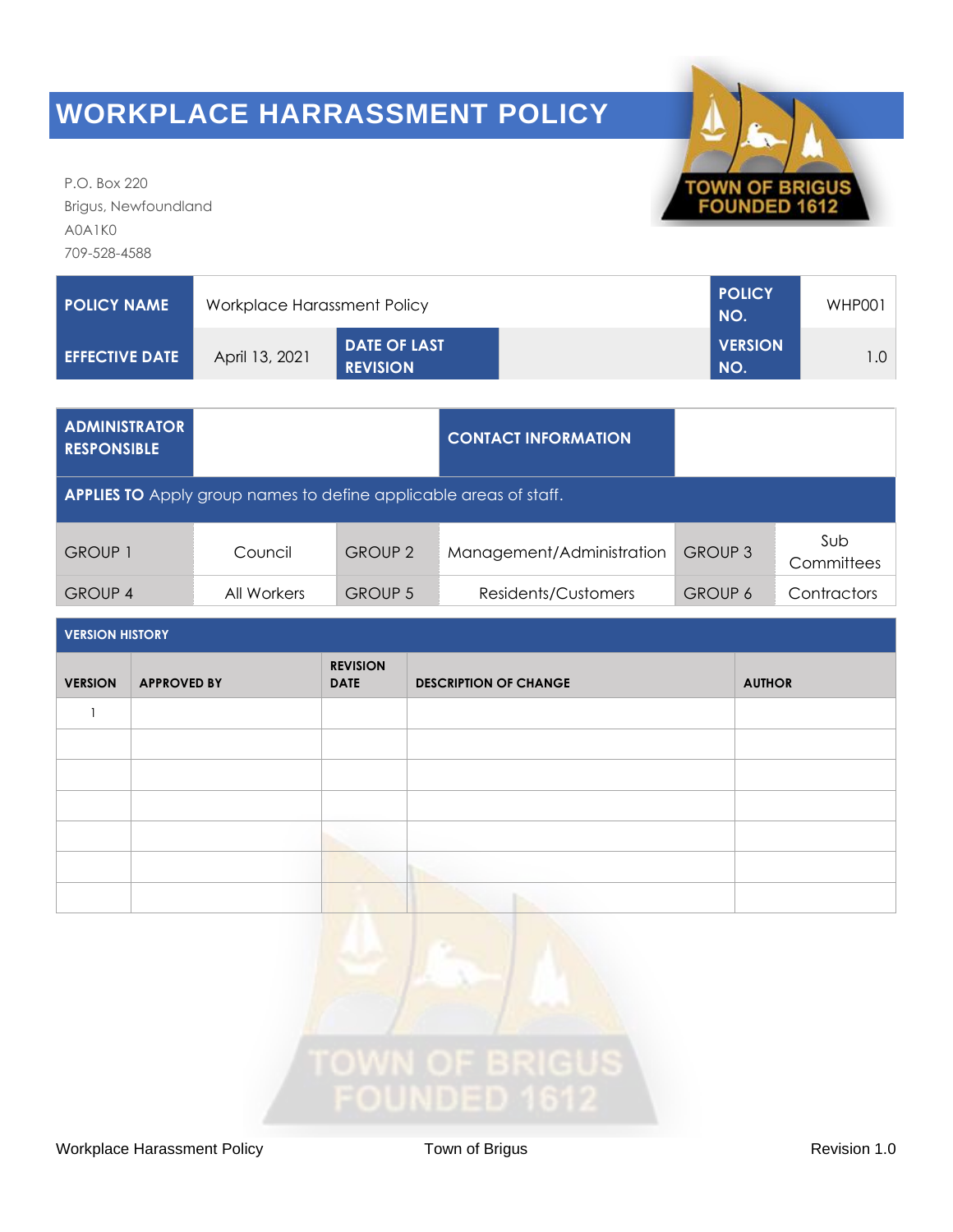

P.O. Box 220 Brigus, Newfoundland A0A1K0 709-528-4588

| POLICY NAME 1          | Workplace Harassment Policy | <b>POLICY</b><br>NO.                   | WHP001                |  |
|------------------------|-----------------------------|----------------------------------------|-----------------------|--|
| <b>LEFFECTIVE DATE</b> | April 13, 2021              | <b>DATE OF LAST</b><br><b>REVISION</b> | <b>VERSION</b><br>NO. |  |

| <b>ADMINISTRATOR</b><br><b>RESPONSIBLE</b>                               |             |                | <b>CONTACT INFORMATION</b> |                |                   |
|--------------------------------------------------------------------------|-------------|----------------|----------------------------|----------------|-------------------|
| <b>APPLIES TO</b> Apply group names to define applicable areas of staff. |             |                |                            |                |                   |
| <b>GROUP 1</b>                                                           | Council     | <b>GROUP 2</b> | Management/Administration  | <b>GROUP 3</b> | Sub<br>Committees |
| <b>GROUP 4</b>                                                           | All Workers | <b>GROUP 5</b> | Residents/Customers        | <b>GROUP 6</b> | Contractors       |

| <b>VERSION HISTORY</b> |                    |                                |                              |               |
|------------------------|--------------------|--------------------------------|------------------------------|---------------|
| <b>VERSION</b>         | <b>APPROVED BY</b> | <b>REVISION</b><br><b>DATE</b> | <b>DESCRIPTION OF CHANGE</b> | <b>AUTHOR</b> |
|                        |                    |                                |                              |               |
|                        |                    |                                |                              |               |
|                        |                    |                                |                              |               |
|                        |                    |                                |                              |               |
|                        |                    |                                |                              |               |
|                        |                    |                                |                              |               |
|                        |                    |                                |                              |               |

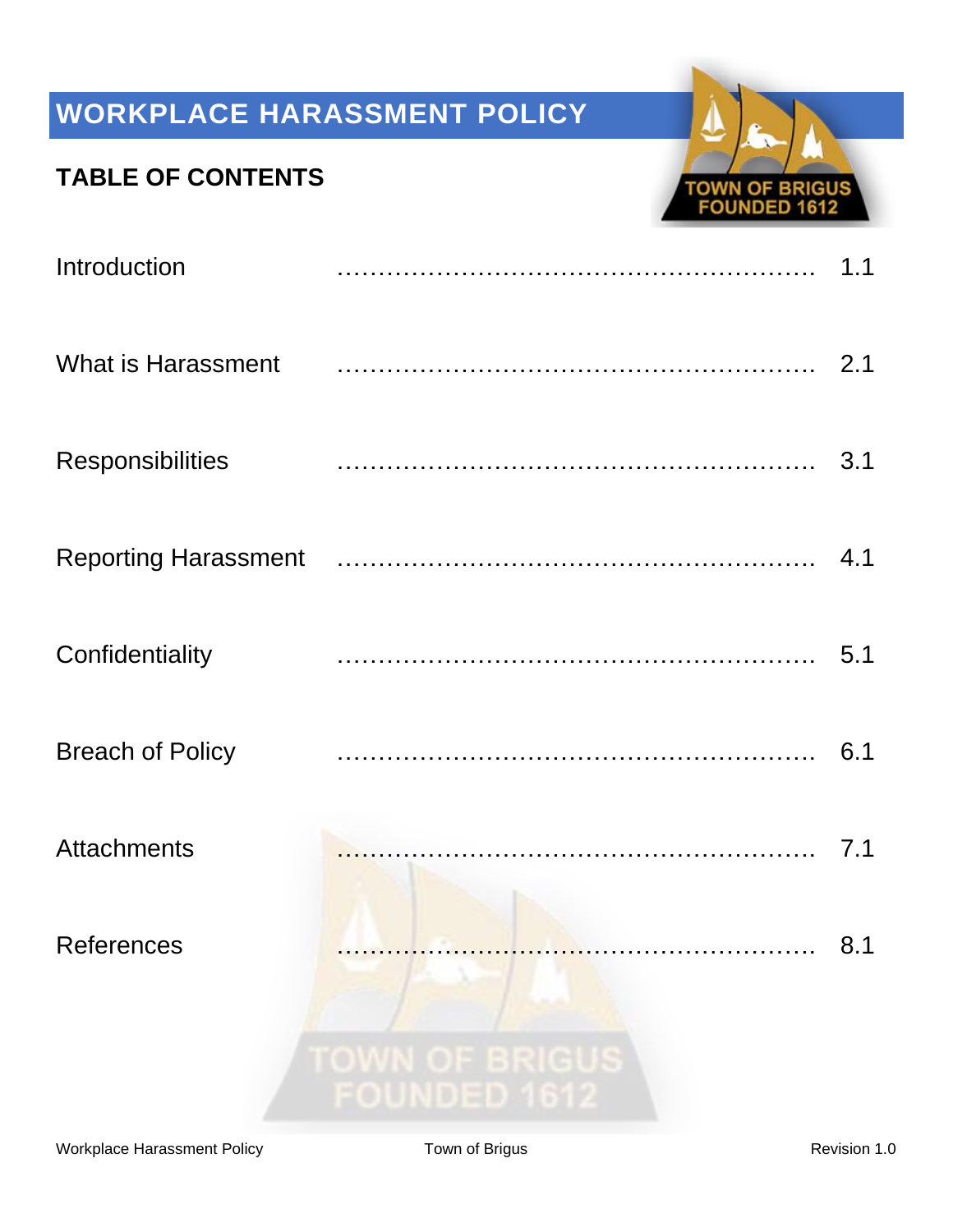## **TABLE OF CONTENTS**



| Introduction              |                                              | 1.1 |
|---------------------------|----------------------------------------------|-----|
| <b>What is Harassment</b> |                                              |     |
| <b>Responsibilities</b>   |                                              | 3.1 |
|                           |                                              |     |
| Confidentiality           |                                              | 5.1 |
| <b>Breach of Policy</b>   |                                              | 6.1 |
| <b>Attachments</b>        |                                              | 7.1 |
| <b>References</b>         |                                              | 8.1 |
|                           | <b>TOWN OF BRIGUS</b><br><b>FOUNDED 1612</b> |     |
|                           |                                              |     |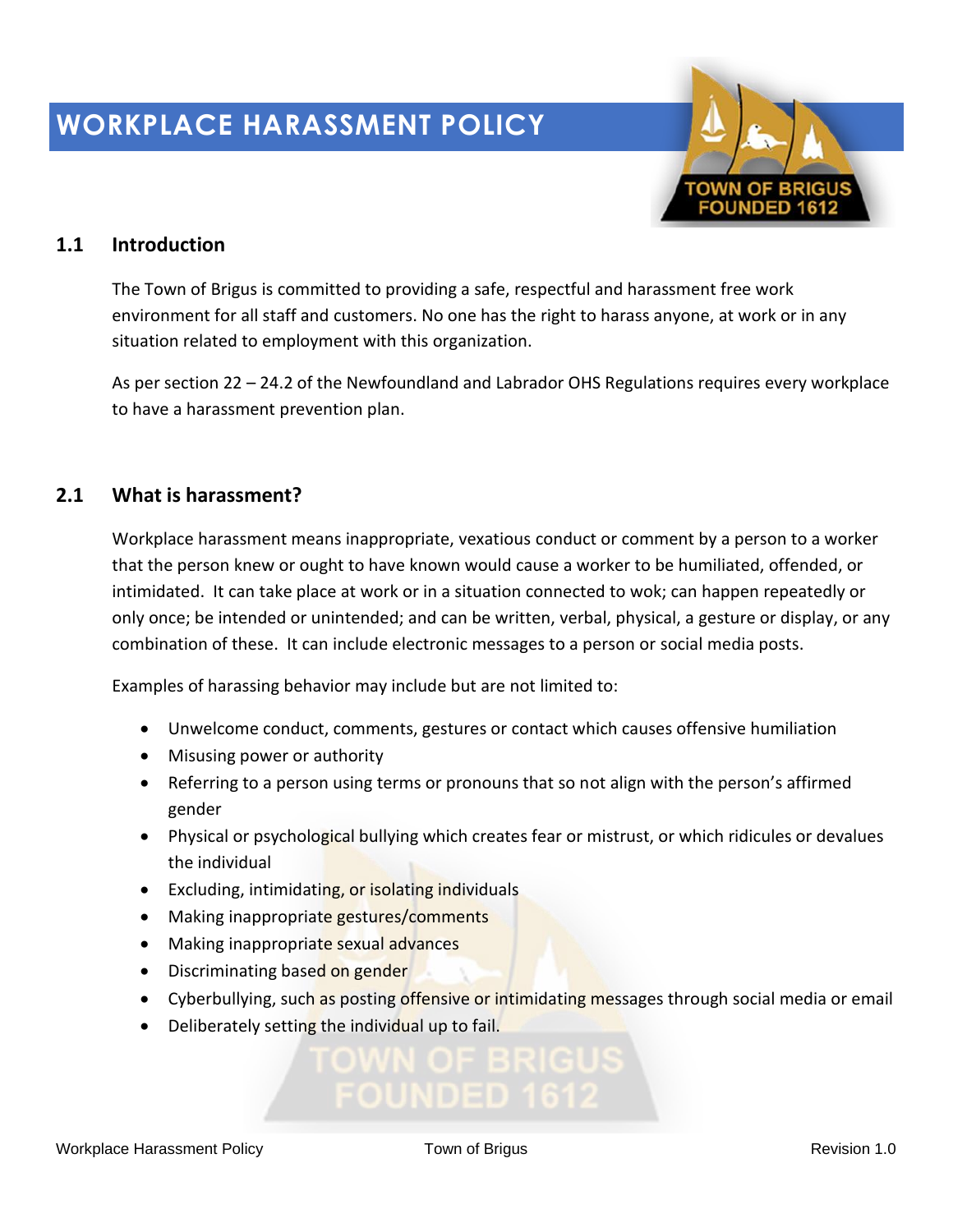

## **1.1 Introduction**

The Town of Brigus is committed to providing a safe, respectful and harassment free work environment for all staff and customers. No one has the right to harass anyone, at work or in any situation related to employment with this organization.

As per section 22 – 24.2 of the Newfoundland and Labrador OHS Regulations requires every workplace to have a harassment prevention plan.

## **2.1 What is harassment?**

Workplace harassment means inappropriate, vexatious conduct or comment by a person to a worker that the person knew or ought to have known would cause a worker to be humiliated, offended, or intimidated. It can take place at work or in a situation connected to wok; can happen repeatedly or only once; be intended or unintended; and can be written, verbal, physical, a gesture or display, or any combination of these. It can include electronic messages to a person or social media posts.

Examples of harassing behavior may include but are not limited to:

- Unwelcome conduct, comments, gestures or contact which causes offensive humiliation
- Misusing power or authority
- Referring to a person using terms or pronouns that so not align with the person's affirmed gender
- Physical or psychological bullying which creates fear or mistrust, or which ridicules or devalues the individual
- Excluding, intimidating, or isolating individuals
- Making inappropriate gestures/comments
- Making inappropriate sexual advances
- Discriminating based on gender
- Cyberbullying, such as posting offensive or intimidating messages through social media or email
- Deliberately setting the individual up to fail.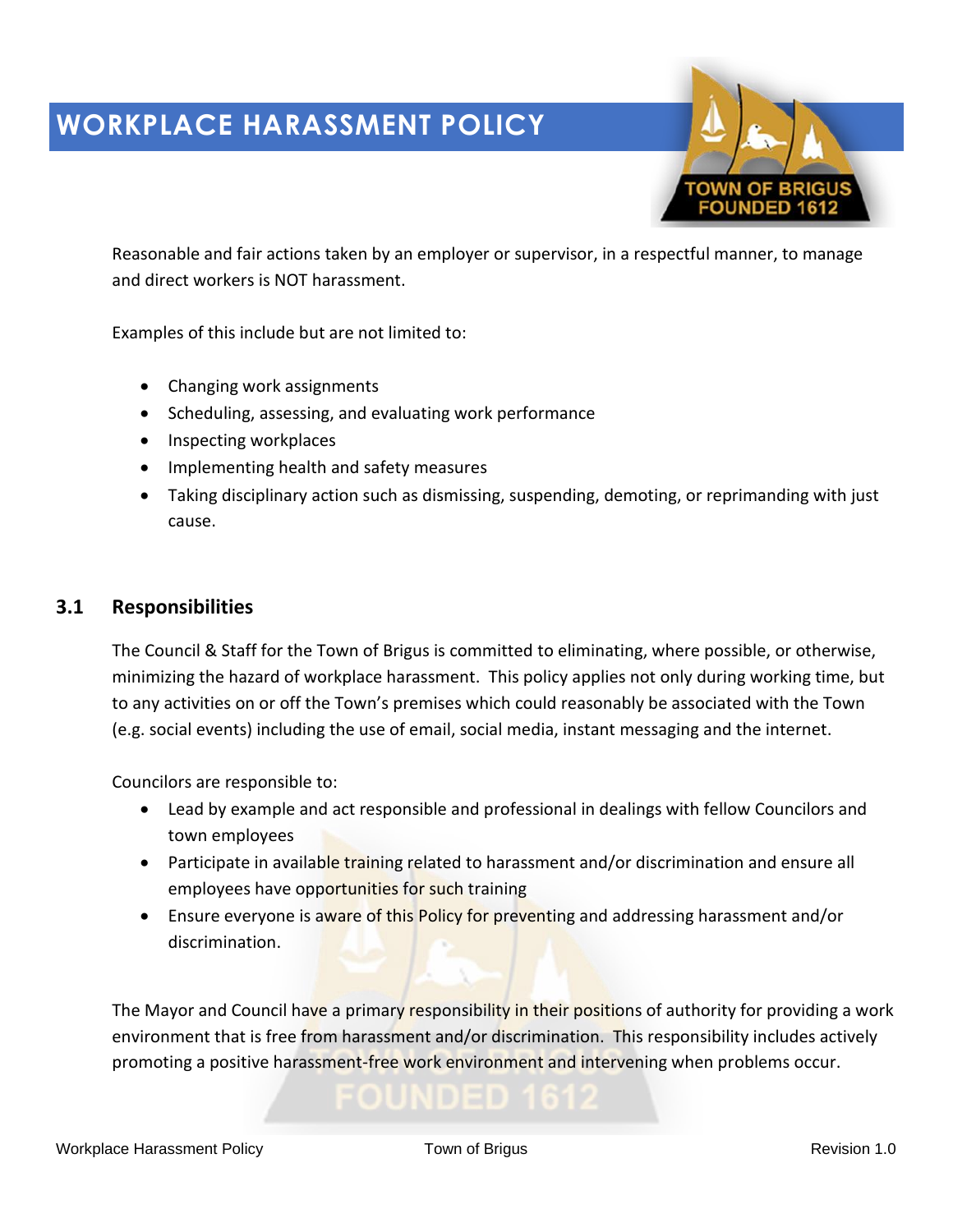

Reasonable and fair actions taken by an employer or supervisor, in a respectful manner, to manage and direct workers is NOT harassment.

Examples of this include but are not limited to:

- Changing work assignments
- Scheduling, assessing, and evaluating work performance
- Inspecting workplaces
- Implementing health and safety measures
- Taking disciplinary action such as dismissing, suspending, demoting, or reprimanding with just cause.

### **3.1 Responsibilities**

The Council & Staff for the Town of Brigus is committed to eliminating, where possible, or otherwise, minimizing the hazard of workplace harassment. This policy applies not only during working time, but to any activities on or off the Town's premises which could reasonably be associated with the Town (e.g. social events) including the use of email, social media, instant messaging and the internet.

Councilors are responsible to:

- Lead by example and act responsible and professional in dealings with fellow Councilors and town employees
- Participate in available training related to harassment and/or discrimination and ensure all employees have opportunities for such training
- Ensure everyone is aware of this Policy for preventing and addressing harassment and/or discrimination.

The Mayor and Council have a primary responsibility in their positions of authority for providing a work environment that is free from harassment and/or discrimination. This responsibility includes actively promoting a positive harassment-free work environment and intervening when problems occur.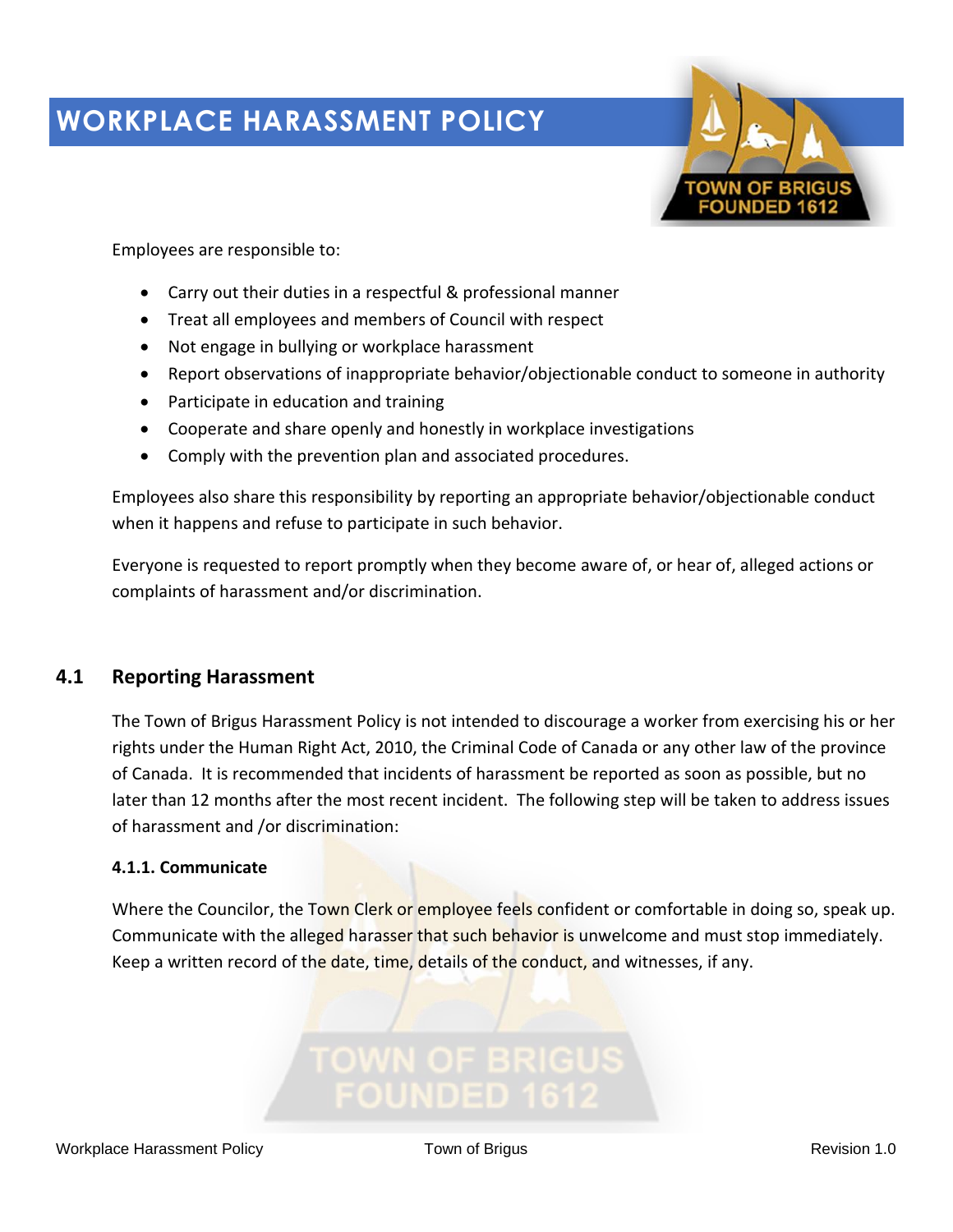

Employees are responsible to:

- Carry out their duties in a respectful & professional manner
- Treat all employees and members of Council with respect
- Not engage in bullying or workplace harassment
- Report observations of inappropriate behavior/objectionable conduct to someone in authority
- Participate in education and training
- Cooperate and share openly and honestly in workplace investigations
- Comply with the prevention plan and associated procedures.

Employees also share this responsibility by reporting an appropriate behavior/objectionable conduct when it happens and refuse to participate in such behavior.

Everyone is requested to report promptly when they become aware of, or hear of, alleged actions or complaints of harassment and/or discrimination.

## **4.1 Reporting Harassment**

The Town of Brigus Harassment Policy is not intended to discourage a worker from exercising his or her rights under the Human Right Act, 2010, the Criminal Code of Canada or any other law of the province of Canada. It is recommended that incidents of harassment be reported as soon as possible, but no later than 12 months after the most recent incident. The following step will be taken to address issues of harassment and /or discrimination:

### **4.1.1. Communicate**

Where the Councilor, the Town Clerk or employee feels confident or comfortable in doing so, speak up. Communicate with the alleged harasser that such behavior is unwelcome and must stop immediately. Keep a written record of the date, time, details of the conduct, and witnesses, if any.

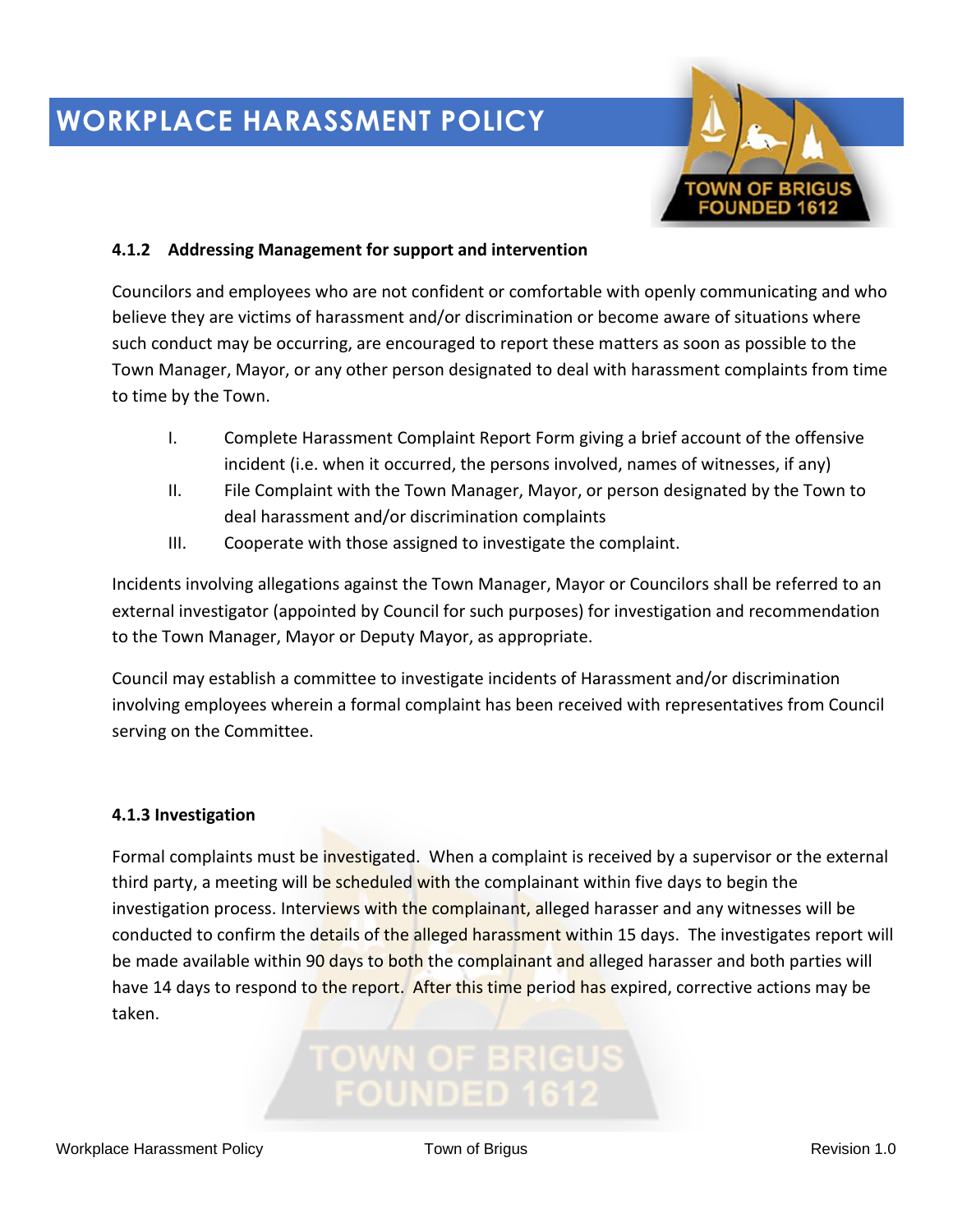

### **4.1.2 Addressing Management for support and intervention**

Councilors and employees who are not confident or comfortable with openly communicating and who believe they are victims of harassment and/or discrimination or become aware of situations where such conduct may be occurring, are encouraged to report these matters as soon as possible to the Town Manager, Mayor, or any other person designated to deal with harassment complaints from time to time by the Town.

- I. Complete Harassment Complaint Report Form giving a brief account of the offensive incident (i.e. when it occurred, the persons involved, names of witnesses, if any)
- II. File Complaint with the Town Manager, Mayor, or person designated by the Town to deal harassment and/or discrimination complaints
- III. Cooperate with those assigned to investigate the complaint.

Incidents involving allegations against the Town Manager, Mayor or Councilors shall be referred to an external investigator (appointed by Council for such purposes) for investigation and recommendation to the Town Manager, Mayor or Deputy Mayor, as appropriate.

Council may establish a committee to investigate incidents of Harassment and/or discrimination involving employees wherein a formal complaint has been received with representatives from Council serving on the Committee.

### **4.1.3 Investigation**

Formal complaints must be investigated. When a complaint is received by a supervisor or the external third party, a meeting will be scheduled with the complainant within five days to begin the investigation process. Interviews with the complainant, alleged harasser and any witnesses will be conducted to confirm the details of the alleged harassment within 15 days. The investigates report will be made available within 90 days to both the complainant and alleged harasser and both parties will have 14 days to respond to the report. After this time period has expired, corrective actions may be taken.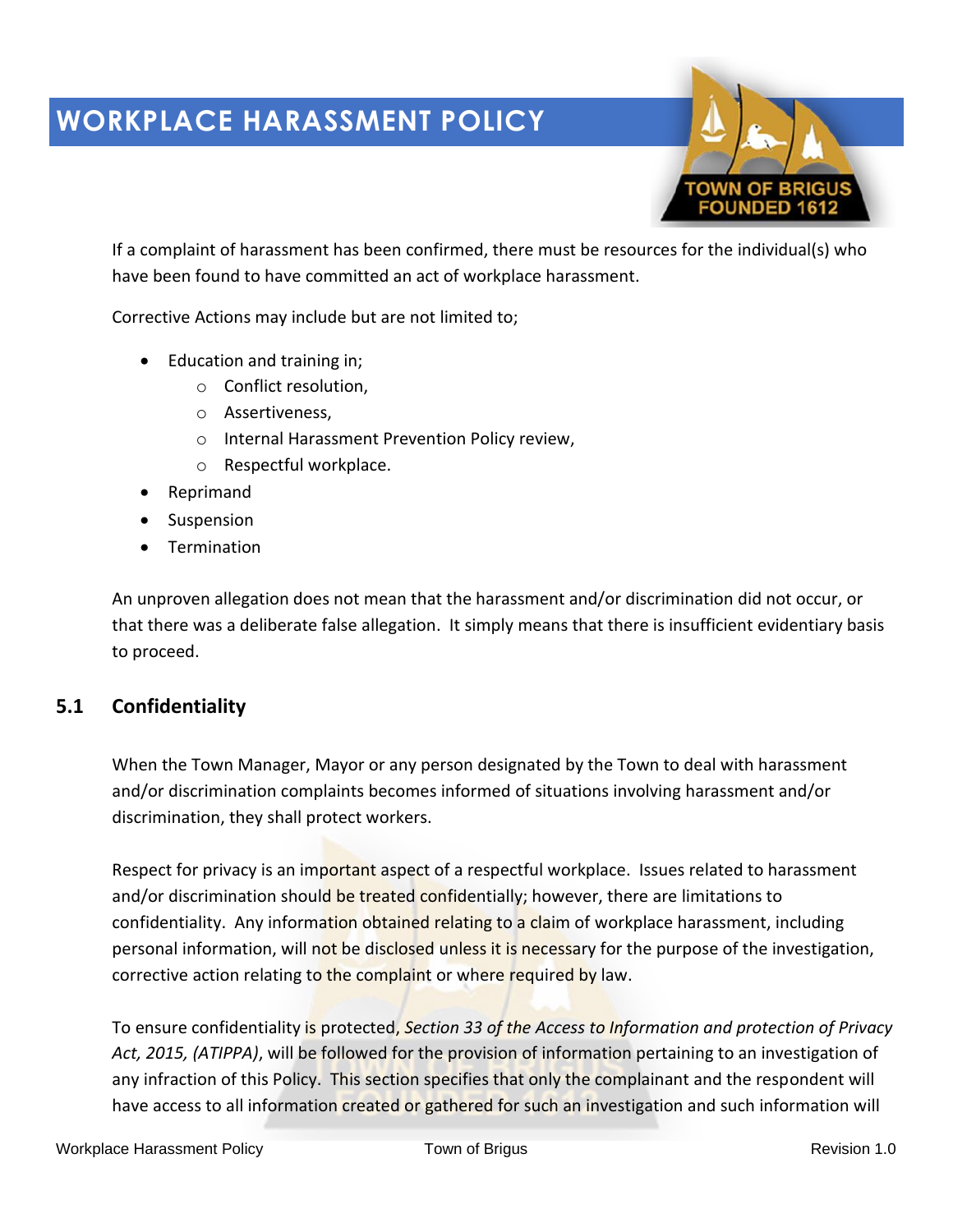

If a complaint of harassment has been confirmed, there must be resources for the individual(s) who have been found to have committed an act of workplace harassment.

Corrective Actions may include but are not limited to;

- Education and training in;
	- o Conflict resolution,
	- o Assertiveness,
	- o Internal Harassment Prevention Policy review,
	- o Respectful workplace.
- Reprimand
- Suspension
- Termination

An unproven allegation does not mean that the harassment and/or discrimination did not occur, or that there was a deliberate false allegation. It simply means that there is insufficient evidentiary basis to proceed.

### **5.1 Confidentiality**

When the Town Manager, Mayor or any person designated by the Town to deal with harassment and/or discrimination complaints becomes informed of situations involving harassment and/or discrimination, they shall protect workers.

Respect for privacy is an important aspect of a respectful workplace. Issues related to harassment and/or discrimination should be treated confidentially; however, there are limitations to confidentiality. Any information obtained relating to a claim of workplace harassment, including personal information, will not be disclosed unless it is necessary for the purpose of the investigation, corrective action relating to the complaint or where required by law.

To ensure confidentiality is protected, *Section 33 of the Access to Information and protection of Privacy Act, 2015, (ATIPPA)*, will be followed for the provision of information pertaining to an investigation of any infraction of this Policy. This section specifies that only the complainant and the respondent will have access to all information created or gathered for such an investigation and such information will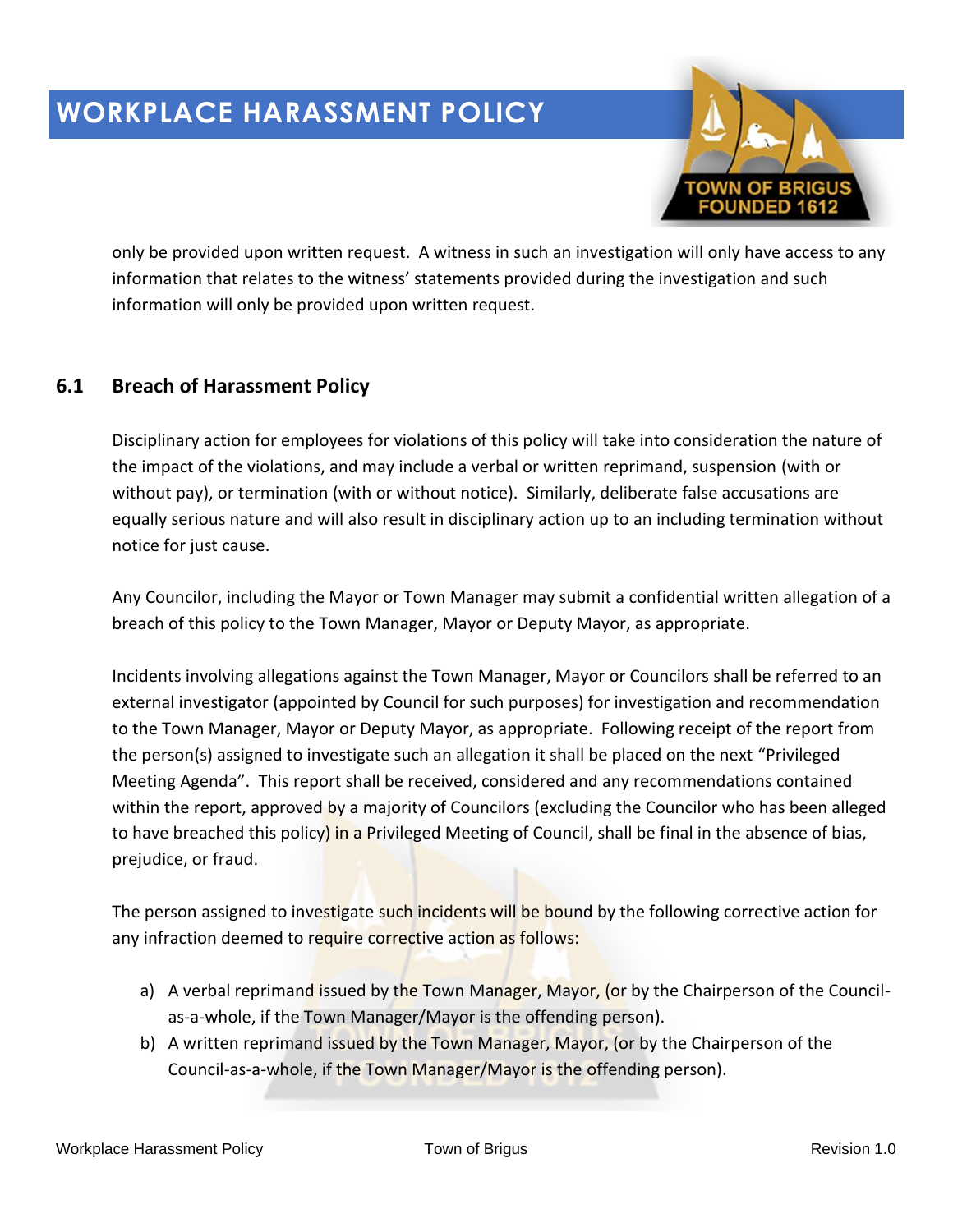

only be provided upon written request. A witness in such an investigation will only have access to any information that relates to the witness' statements provided during the investigation and such information will only be provided upon written request.

## **6.1 Breach of Harassment Policy**

Disciplinary action for employees for violations of this policy will take into consideration the nature of the impact of the violations, and may include a verbal or written reprimand, suspension (with or without pay), or termination (with or without notice). Similarly, deliberate false accusations are equally serious nature and will also result in disciplinary action up to an including termination without notice for just cause.

Any Councilor, including the Mayor or Town Manager may submit a confidential written allegation of a breach of this policy to the Town Manager, Mayor or Deputy Mayor, as appropriate.

Incidents involving allegations against the Town Manager, Mayor or Councilors shall be referred to an external investigator (appointed by Council for such purposes) for investigation and recommendation to the Town Manager, Mayor or Deputy Mayor, as appropriate. Following receipt of the report from the person(s) assigned to investigate such an allegation it shall be placed on the next "Privileged Meeting Agenda". This report shall be received, considered and any recommendations contained within the report, approved by a majority of Councilors (excluding the Councilor who has been alleged to have breached this policy) in a Privileged Meeting of Council, shall be final in the absence of bias, prejudice, or fraud.

The person assigned to investigate such incidents will be bound by the following corrective action for any infraction deemed to require corrective action as follows:

- a) A verbal reprimand issued by the Town Manager, Mayor, (or by the Chairperson of the Councilas-a-whole, if the Town Manager/Mayor is the offending person).
- b) A written reprimand issued by the Town Manager, Mayor, (or by the Chairperson of the Council-as-a-whole, if the Town Manager/Mayor is the offending person).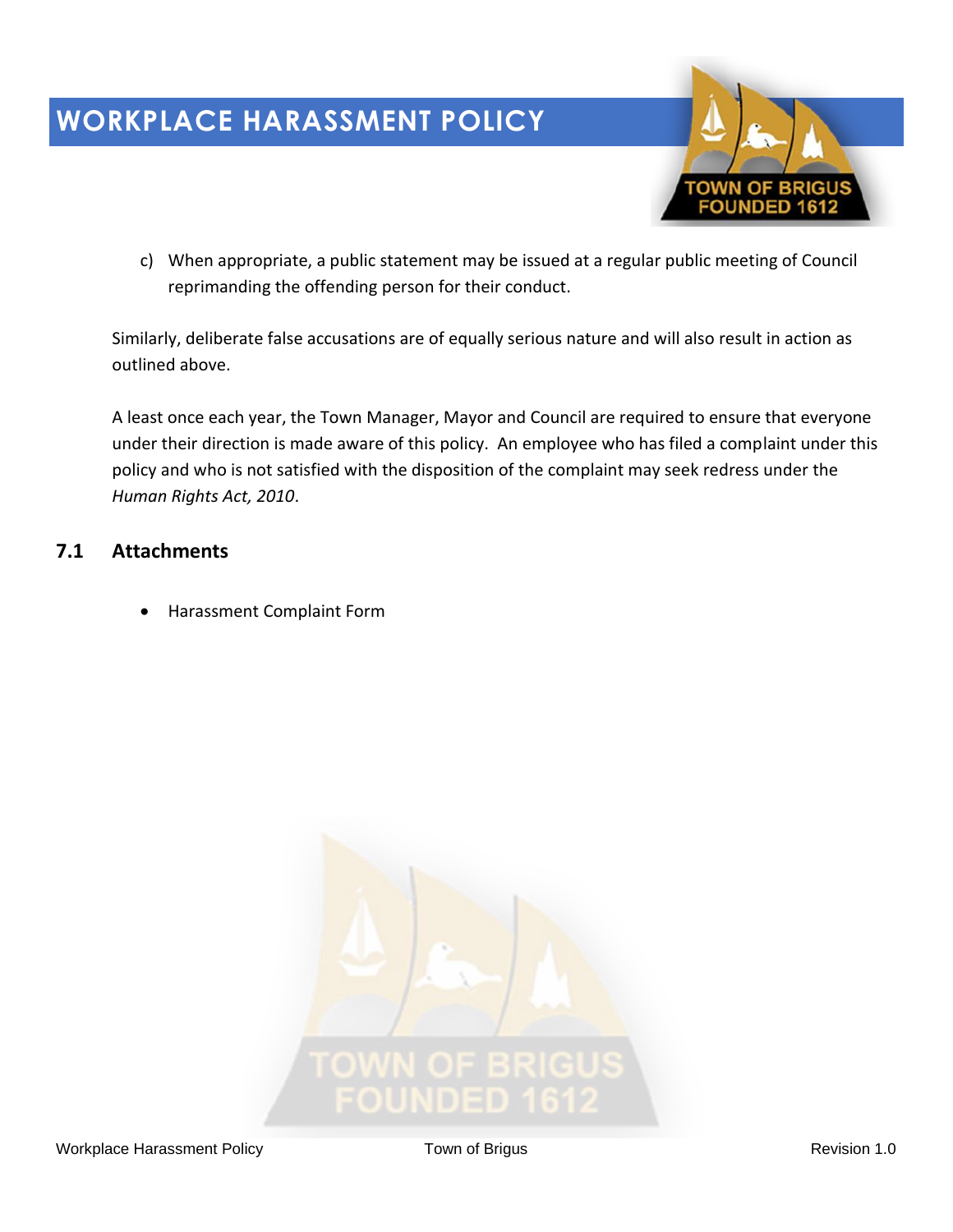

c) When appropriate, a public statement may be issued at a regular public meeting of Council reprimanding the offending person for their conduct.

Similarly, deliberate false accusations are of equally serious nature and will also result in action as outlined above.

A least once each year, the Town Manager, Mayor and Council are required to ensure that everyone under their direction is made aware of this policy. An employee who has filed a complaint under this policy and who is not satisfied with the disposition of the complaint may seek redress under the *Human Rights Act, 2010*.

## **7.1 Attachments**

• Harassment Complaint Form

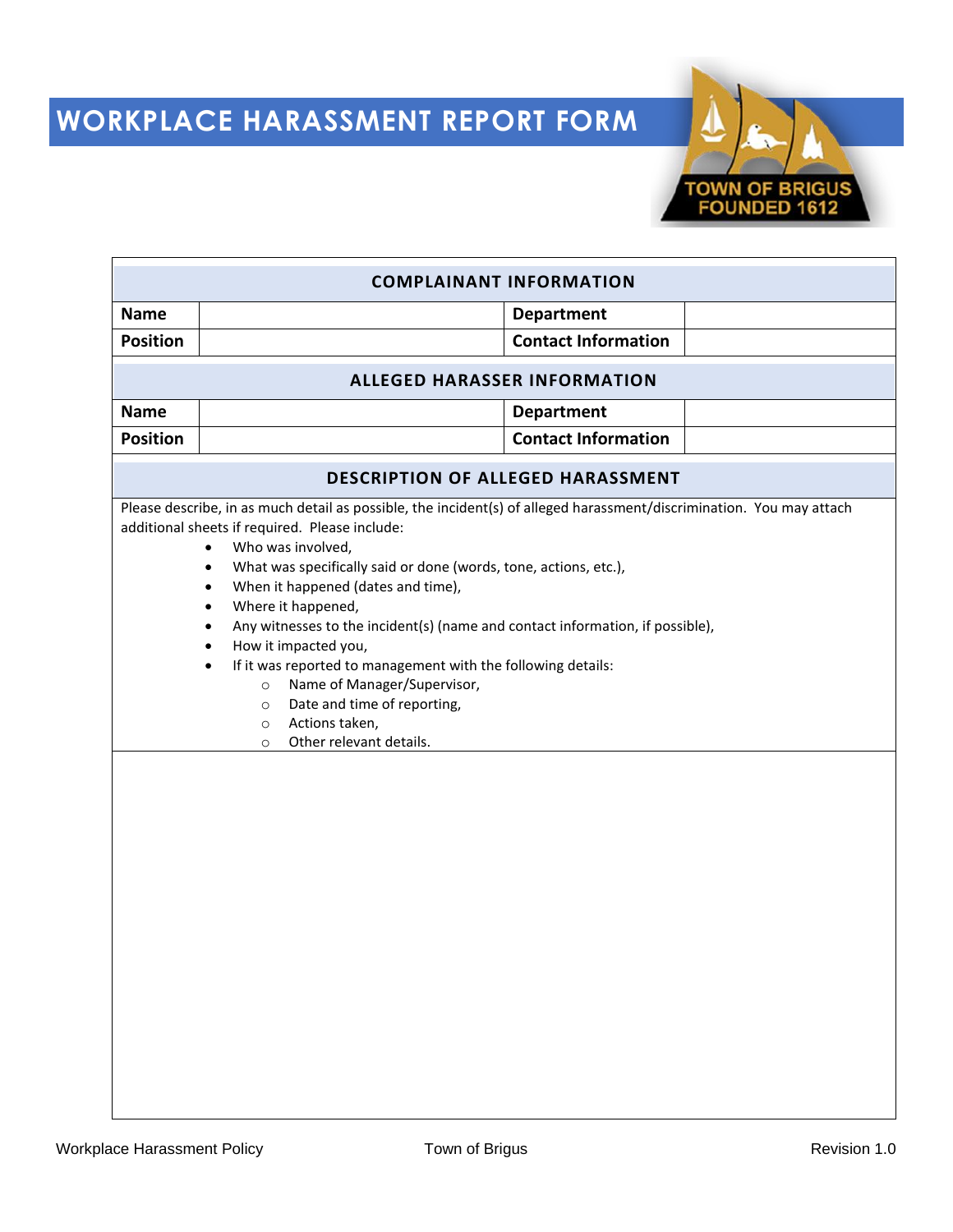# **WORKPLACE HARASSMENT REPORT FORM**



| <b>COMPLAINANT INFORMATION</b> |                                                                                                                                                                                                                                                                                                                                                                                                                                                                                                                                                                                                                                                                                                                                                        |                            |  |
|--------------------------------|--------------------------------------------------------------------------------------------------------------------------------------------------------------------------------------------------------------------------------------------------------------------------------------------------------------------------------------------------------------------------------------------------------------------------------------------------------------------------------------------------------------------------------------------------------------------------------------------------------------------------------------------------------------------------------------------------------------------------------------------------------|----------------------------|--|
| <b>Name</b>                    |                                                                                                                                                                                                                                                                                                                                                                                                                                                                                                                                                                                                                                                                                                                                                        | <b>Department</b>          |  |
| <b>Position</b>                |                                                                                                                                                                                                                                                                                                                                                                                                                                                                                                                                                                                                                                                                                                                                                        | <b>Contact Information</b> |  |
|                                | <b>ALLEGED HARASSER INFORMATION</b>                                                                                                                                                                                                                                                                                                                                                                                                                                                                                                                                                                                                                                                                                                                    |                            |  |
| <b>Name</b>                    |                                                                                                                                                                                                                                                                                                                                                                                                                                                                                                                                                                                                                                                                                                                                                        | <b>Department</b>          |  |
| <b>Position</b>                |                                                                                                                                                                                                                                                                                                                                                                                                                                                                                                                                                                                                                                                                                                                                                        | <b>Contact Information</b> |  |
|                                | <b>DESCRIPTION OF ALLEGED HARASSMENT</b>                                                                                                                                                                                                                                                                                                                                                                                                                                                                                                                                                                                                                                                                                                               |                            |  |
|                                | Please describe, in as much detail as possible, the incident(s) of alleged harassment/discrimination. You may attach<br>additional sheets if required. Please include:<br>Who was involved,<br>$\bullet$<br>What was specifically said or done (words, tone, actions, etc.),<br>$\bullet$<br>When it happened (dates and time),<br>$\bullet$<br>Where it happened,<br>$\bullet$<br>Any witnesses to the incident(s) (name and contact information, if possible),<br>$\bullet$<br>How it impacted you,<br>$\bullet$<br>If it was reported to management with the following details:<br>$\bullet$<br>Name of Manager/Supervisor,<br>$\circ$<br>Date and time of reporting,<br>$\circ$<br>Actions taken,<br>$\circ$<br>Other relevant details.<br>$\circ$ |                            |  |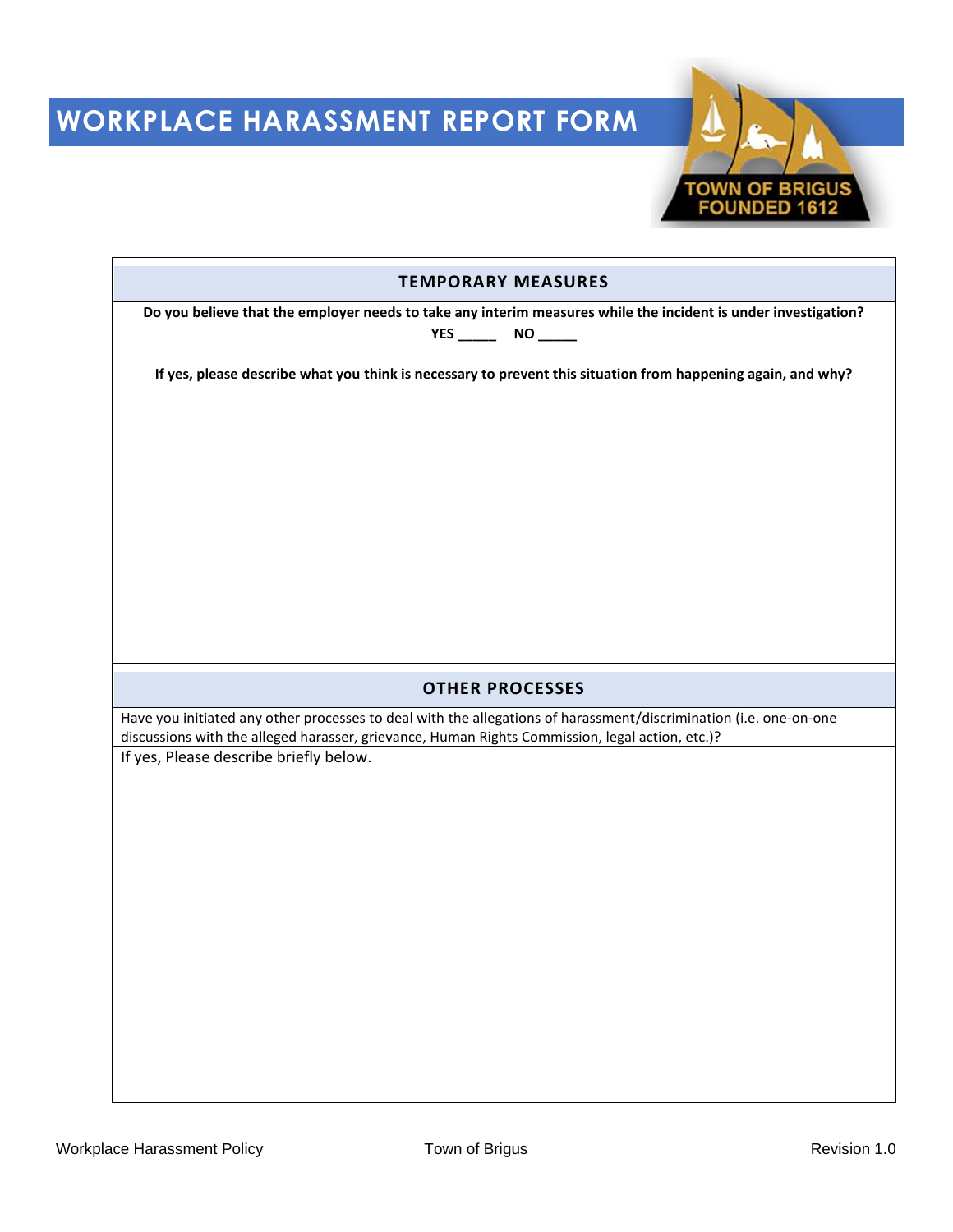# **WORKPLACE HARASSMENT REPORT FORM**



| <b>TEMPORARY MEASURES</b>                                                                                                                                                                                            |  |  |  |
|----------------------------------------------------------------------------------------------------------------------------------------------------------------------------------------------------------------------|--|--|--|
| Do you believe that the employer needs to take any interim measures while the incident is under investigation?<br>YES ________________ NO _________                                                                  |  |  |  |
| If yes, please describe what you think is necessary to prevent this situation from happening again, and why?                                                                                                         |  |  |  |
|                                                                                                                                                                                                                      |  |  |  |
|                                                                                                                                                                                                                      |  |  |  |
|                                                                                                                                                                                                                      |  |  |  |
|                                                                                                                                                                                                                      |  |  |  |
|                                                                                                                                                                                                                      |  |  |  |
|                                                                                                                                                                                                                      |  |  |  |
|                                                                                                                                                                                                                      |  |  |  |
| <b>OTHER PROCESSES</b>                                                                                                                                                                                               |  |  |  |
| Have you initiated any other processes to deal with the allegations of harassment/discrimination (i.e. one-on-one<br>discussions with the alleged harasser, grievance, Human Rights Commission, legal action, etc.)? |  |  |  |
| If yes, Please describe briefly below.                                                                                                                                                                               |  |  |  |
|                                                                                                                                                                                                                      |  |  |  |
|                                                                                                                                                                                                                      |  |  |  |
|                                                                                                                                                                                                                      |  |  |  |
|                                                                                                                                                                                                                      |  |  |  |
|                                                                                                                                                                                                                      |  |  |  |
|                                                                                                                                                                                                                      |  |  |  |
|                                                                                                                                                                                                                      |  |  |  |
|                                                                                                                                                                                                                      |  |  |  |